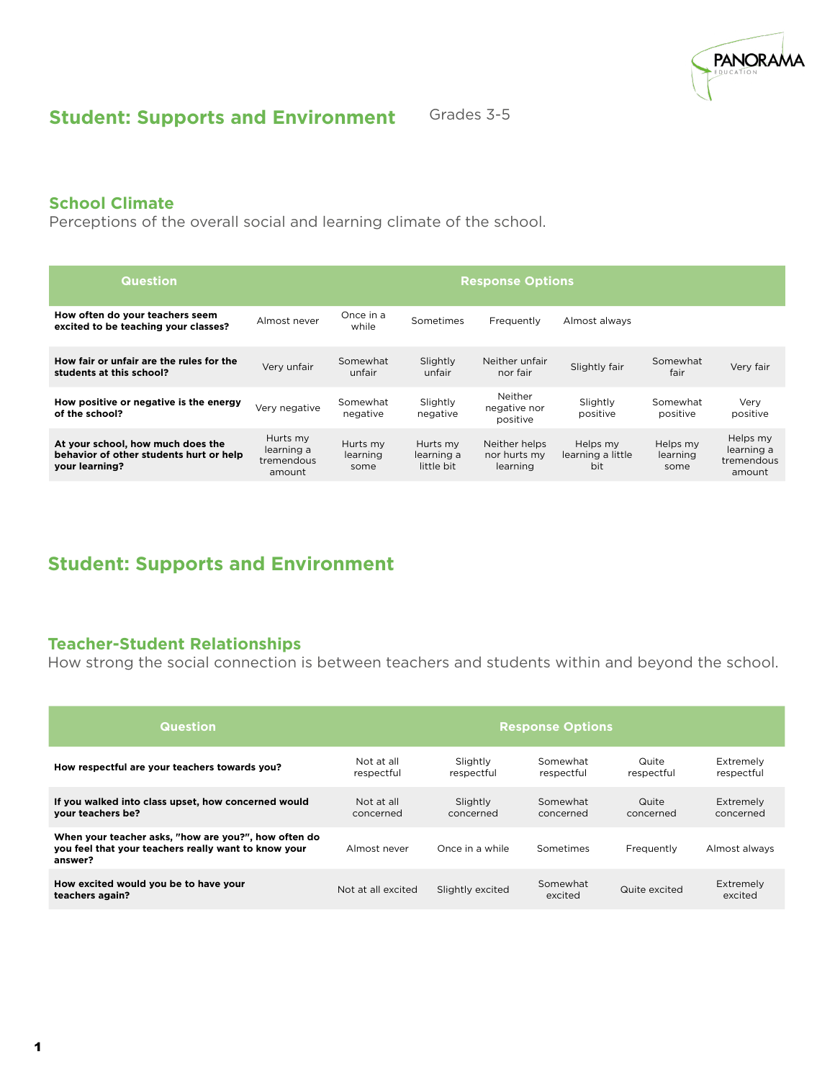

### **Student: Supports and Environment**

Grades 3-5

### **School Climate**

Perceptions of the overall social and learning climate of the school.

| <b>Question</b>                                                                                | <b>Response Options</b>                        |                              |                                      |                                           |                                      |                              |                                                |
|------------------------------------------------------------------------------------------------|------------------------------------------------|------------------------------|--------------------------------------|-------------------------------------------|--------------------------------------|------------------------------|------------------------------------------------|
| How often do your teachers seem<br>excited to be teaching your classes?                        | Almost never                                   | Once in a<br>while           | Sometimes                            | Frequently                                | Almost always                        |                              |                                                |
| How fair or unfair are the rules for the<br>students at this school?                           | Verv unfair                                    | Somewhat<br>unfair           | Slightly<br>unfair                   | Neither unfair<br>nor fair                | Slightly fair                        | Somewhat<br>fair             | Very fair                                      |
| How positive or negative is the energy<br>of the school?                                       | Very negative                                  | Somewhat<br>negative         | Slightly<br>negative                 | Neither<br>negative nor<br>positive       | Slightly<br>positive                 | Somewhat<br>positive         | Very<br>positive                               |
| At your school, how much does the<br>behavior of other students hurt or help<br>your learning? | Hurts my<br>learning a<br>tremendous<br>amount | Hurts my<br>learning<br>some | Hurts my<br>learning a<br>little bit | Neither helps<br>nor hurts my<br>learning | Helps my<br>learning a little<br>bit | Helps my<br>learning<br>some | Helps my<br>learning a<br>tremendous<br>amount |

### **Student: Supports and Environment**

### **Teacher-Student Relationships**

How strong the social connection is between teachers and students within and beyond the school.

| <b>Question</b>                                                                                                         | <b>Response Options</b>  |                        |                        |                     |                         |
|-------------------------------------------------------------------------------------------------------------------------|--------------------------|------------------------|------------------------|---------------------|-------------------------|
| How respectful are your teachers towards you?                                                                           | Not at all<br>respectful | Slightly<br>respectful | Somewhat<br>respectful | Quite<br>respectful | Extremely<br>respectful |
| If you walked into class upset, how concerned would<br>your teachers be?                                                | Not at all<br>concerned  | Slightly<br>concerned  | Somewhat<br>concerned  | Quite<br>concerned  | Extremely<br>concerned  |
| When your teacher asks, "how are you?", how often do<br>you feel that your teachers really want to know your<br>answer? | Almost never             | Once in a while        | Sometimes              | Frequently          | Almost always           |
| How excited would you be to have your<br>teachers again?                                                                | Not at all excited       | Slightly excited       | Somewhat<br>excited    | Quite excited       | Extremely<br>excited    |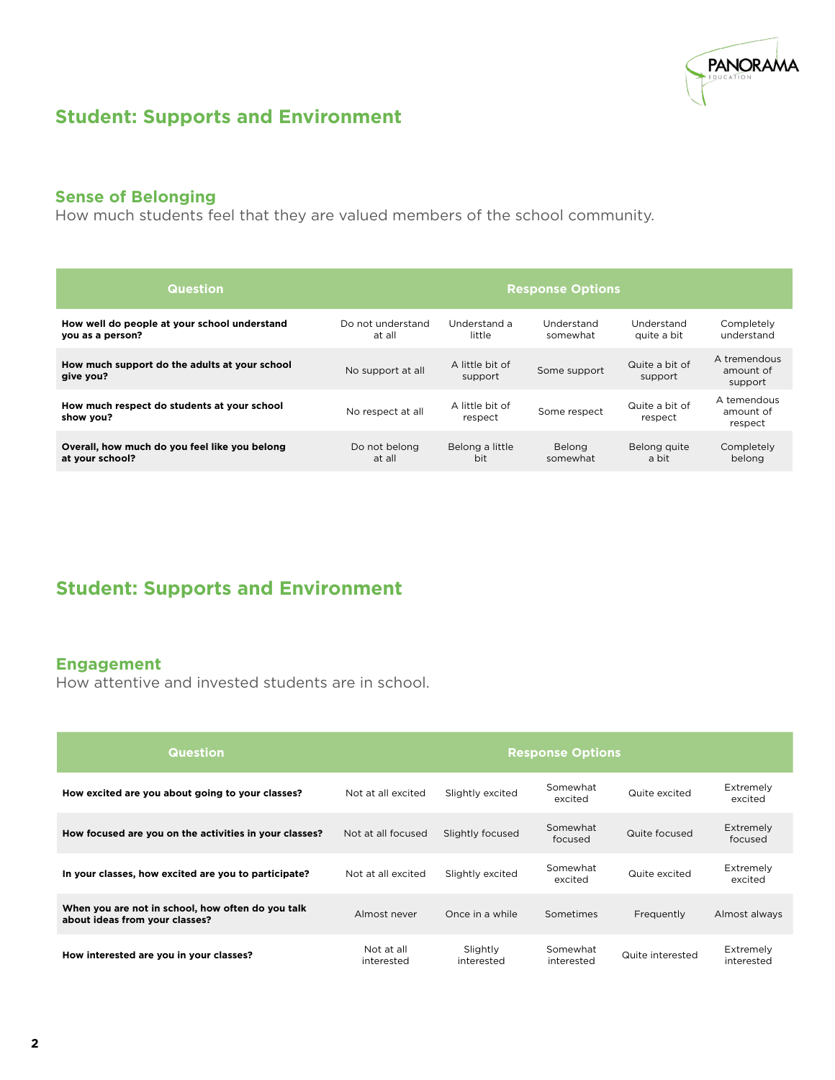

## **Student: Supports and Environment**

### **Sense of Belonging**

How much students feel that they are valued members of the school community.

| <b>Question</b>                                                  | <b>Response Options</b>     |                            |                           |                           |                                      |
|------------------------------------------------------------------|-----------------------------|----------------------------|---------------------------|---------------------------|--------------------------------------|
| How well do people at your school understand<br>you as a person? | Do not understand<br>at all | Understand a<br>little     | Understand<br>somewhat    | Understand<br>quite a bit | Completely<br>understand             |
| How much support do the adults at your school<br>give you?       | No support at all           | A little bit of<br>support | Some support              | Quite a bit of<br>support | A tremendous<br>amount of<br>support |
| How much respect do students at your school<br>show you?         | No respect at all           | A little bit of<br>respect | Some respect              | Quite a bit of<br>respect | A temendous<br>amount of<br>respect  |
| Overall, how much do you feel like you belong<br>at your school? | Do not belong<br>at all     | Belong a little<br>bit     | <b>Belong</b><br>somewhat | Belong quite<br>a bit     | Completely<br>belong                 |

## **Student: Supports and Environment**

### **Engagement**

How attentive and invested students are in school.

| <b>Question</b>                                                                     | <b>Response Options</b>  |                        |                        |                  |                         |
|-------------------------------------------------------------------------------------|--------------------------|------------------------|------------------------|------------------|-------------------------|
| How excited are you about going to your classes?                                    | Not at all excited       | Slightly excited       | Somewhat<br>excited    | Quite excited    | Extremely<br>excited    |
| How focused are you on the activities in your classes?                              | Not at all focused       | Slightly focused       | Somewhat<br>focused    | Quite focused    | Extremely<br>focused    |
| In your classes, how excited are you to participate?                                | Not at all excited       | Slightly excited       | Somewhat<br>excited    | Quite excited    | Extremely<br>excited    |
| When you are not in school, how often do you talk<br>about ideas from your classes? | Almost never             | Once in a while        | Sometimes              | Frequently       | Almost always           |
| How interested are you in your classes?                                             | Not at all<br>interested | Slightly<br>interested | Somewhat<br>interested | Quite interested | Extremely<br>interested |